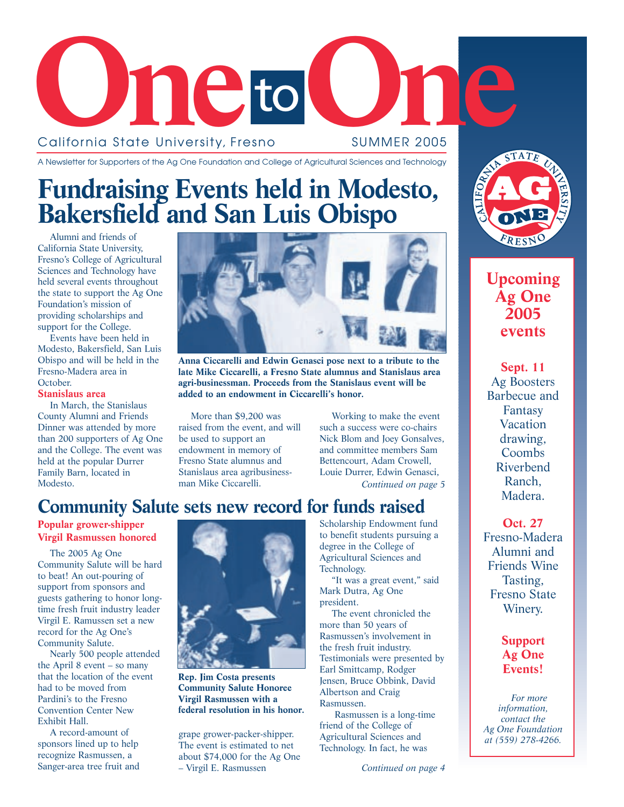

#### A Newsletter for Supporters of the Ag One Foundation and College of Agricultural Sciences and Technology

### **Fundraising Events held in Modesto, Bakersfield and San Luis Obispo**

Alumni and friends of California State University, Fresno's College of Agricultural Sciences and Technology have held several events throughout the state to support the Ag One Foundation's mission of providing scholarships and support for the College.

Events have been held in Modesto, Bakersfield, San Luis Obispo and will be held in the Fresno-Madera area in October.

#### **Stanislaus area**

In March, the Stanislaus County Alumni and Friends Dinner was attended by more than 200 supporters of Ag One and the College. The event was held at the popular Durrer Family Barn, located in Modesto.



**Anna Ciccarelli and Edwin Genasci pose next to a tribute to the late Mike Ciccarelli, a Fresno State alumnus and Stanislaus area agri-businessman. Proceeds from the Stanislaus event will be added to an endowment in Ciccarelli's honor.** 

More than \$9,200 was raised from the event, and will be used to support an endowment in memory of Fresno State alumnus and Stanislaus area agribusinessman Mike Ciccarelli.

Working to make the event such a success were co-chairs Nick Blom and Joey Gonsalves, and committee members Sam Bettencourt, Adam Crowell, Louie Durrer, Edwin Genasci, *Continued on page 5*

### **Community Salute sets new record for funds raised**

### **Popular grower-shipper Virgil Rasmussen honored**

The 2005 Ag One Community Salute will be hard to beat! An out-pouring of support from sponsors and guests gathering to honor longtime fresh fruit industry leader Virgil E. Ramussen set a new record for the Ag One's Community Salute.

Nearly 500 people attended the April 8 event – so many that the location of the event had to be moved from Pardini's to the Fresno Convention Center New Exhibit Hall.

A record-amount of sponsors lined up to help recognize Rasmussen, a Sanger-area tree fruit and



**Rep. Jim Costa presents Community Salute Honoree Virgil Rasmussen with a federal resolution in his honor.**

grape grower-packer-shipper. The event is estimated to net about \$74,000 for the Ag One – Virgil E. Rasmussen

Scholarship Endowment fund to benefit students pursuing a degree in the College of Agricultural Sciences and Technology.

"It was a great event," said Mark Dutra, Ag One president.

The event chronicled the more than 50 years of Rasmussen's involvement in the fresh fruit industry. Testimonials were presented by Earl Smittcamp, Rodger Jensen, Bruce Obbink, David Albertson and Craig Rasmussen.

Rasmussen is a long-time friend of the College of Agricultural Sciences and Technology. In fact, he was



### **Upcoming Ag One 2005 events**

**Sept. 11** Ag Boosters Barbecue and Fantasy Vacation drawing, **Coombs** Riverbend Ranch, Madera.

### **Oct. 27** Fresno-Madera Alumni and

Friends Wine Tasting, Fresno State Winery.

### **Support Ag One Events!**

*For more information, contact the Ag One Foundation at (559) 278-4266.*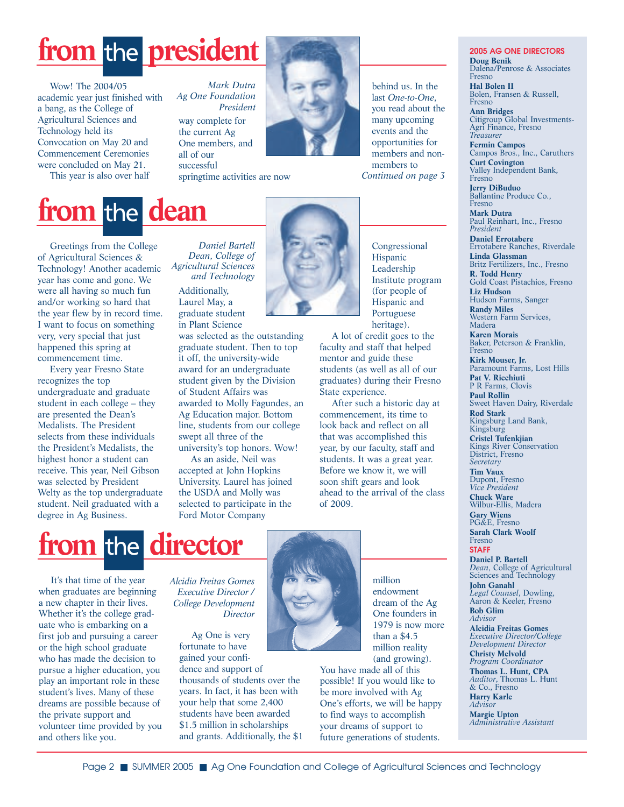# from the **president**

Wow! The 2004/05 academic year just finished with a bang, as the College of Agricultural Sciences and Technology held its Convocation on May 20 and Commencement Ceremonies were concluded on May 21.

This year is also over half

#### way complete for the current Ag One members, and all of our successful *Mark Dutra Ag One Foundation President*

springtime activities are now



behind us. In the last *One-to-One*, you read about the many upcoming events and the opportunities for members and nonmembers to *Continued on page 3*

# **from the dean**

Greetings from the College of Agricultural Sciences & Technology! Another academic year has come and gone. We were all having so much fun and/or working so hard that the year flew by in record time. I want to focus on something very, very special that just happened this spring at commencement time.

Every year Fresno State recognizes the top undergraduate and graduate student in each college – they are presented the Dean's Medalists. The President selects from these individuals the President's Medalists, the highest honor a student can receive. This year, Neil Gibson was selected by President Welty as the top undergraduate student. Neil graduated with a degree in Ag Business.

*Daniel Bartell Dean, College of Agricultural Sciences and Technology*

Additionally, Laurel May, a graduate student in Plant Science

was selected as the outstanding graduate student. Then to top it off, the university-wide award for an undergraduate student given by the Division of Student Affairs was awarded to Molly Fagundes, an Ag Education major. Bottom line, students from our college swept all three of the university's top honors. Wow!

As an aside, Neil was accepted at John Hopkins University. Laurel has joined the USDA and Molly was selected to participate in the Ford Motor Company



Congressional Hispanic Leadership Institute program (for people of Hispanic and Portuguese heritage).

A lot of credit goes to the faculty and staff that helped mentor and guide these students (as well as all of our graduates) during their Fresno State experience.

After such a historic day at commencement, its time to look back and reflect on all that was accomplished this year, by our faculty, staff and students. It was a great year. Before we know it, we will soon shift gears and look ahead to the arrival of the class of 2009.

## from the director

It's that time of the year when graduates are beginning a new chapter in their lives. Whether it's the college graduate who is embarking on a first job and pursuing a career or the high school graduate who has made the decision to pursue a higher education, you play an important role in these student's lives. Many of these dreams are possible because of the private support and volunteer time provided by you and others like you.

*Alcidia Freitas Gomes Executive Director / College Development Director*

> Ag One is very fortunate to have gained your confidence and support of thousands of students over the years. In fact, it has been with your help that some 2,400 students have been awarded \$1.5 million in scholarships and grants. Additionally, the \$1



million endowment dream of the Ag One founders in 1979 is now more than a \$4.5 million reality

(and growing). You have made all of this possible! If you would like to be more involved with Ag One's efforts, we will be happy to find ways to accomplish your dreams of support to future generations of students.

#### **2005 AG ONE DIRECTORS Doug Benik** Dalena/Penrose & Associates Fresno **Hal Bolen II** Bolen, Fransen & Russell, Fresno **Ann Bridges** Citigroup Global Investments-Agri Finance, Fresno *Treasurer*

**Fermin Campos** Campos Bros., Inc., Caruthers **Curt Covington** Valley Independent Bank, Fresno **Jerry DiBuduo** Ballantine Produce Co.,

Fresno **Mark Dutra** Paul Reinhart, Inc., Fresno *President* **Daniel Errotabere** Errotabere Ranches, Riverdale **Linda Glassman** Britz Fertilizers, Inc., Fresno **R. Todd Henry** Gold Coast Pistachios, Fresno **Liz Hudson** Hudson Farms, Sanger **Randy Miles** Western Farm Services, Madera **Karen Morais** Baker, Peterson & Franklin, Fresno

**Kirk Mouser, Jr.** Paramount Farms, Lost Hills **Pat V. Ricchiuti** P R Farms, Clovis

**Paul Rollin** Sweet Haven Dairy, Riverdale

**Rod Stark** Kingsburg Land Bank, Kingsburg

**Cristel Tufenkjian** Kings River Conservation District, Fresno *Secretary*

**Tim Vaux** Dupont, Fresno *Vice President*

**Chuck Ware** Wilbur-Ellis, Madera **Gary Wiens** PG&E, Fresno **Sarah Clark Woolf**

Fresno **STAFF Daniel P. Bartell**

*Dean*, College of Agricultural Sciences and Technology **John Ganahl** *Legal Counsel*, Dowling, Aaron & Keeler, Fresno **Bob Glim** *Advisor* **Alcidia Freitas Gomes** *Executive Director/College Development Director* **Christy Melvold** *Program Coordinator* **Thomas L. Hunt, CPA** *Auditor*, Thomas L. Hunt & Co., Fresno **Harry Karle** *Advisor* **Margie Upton** *Administrative Assistant*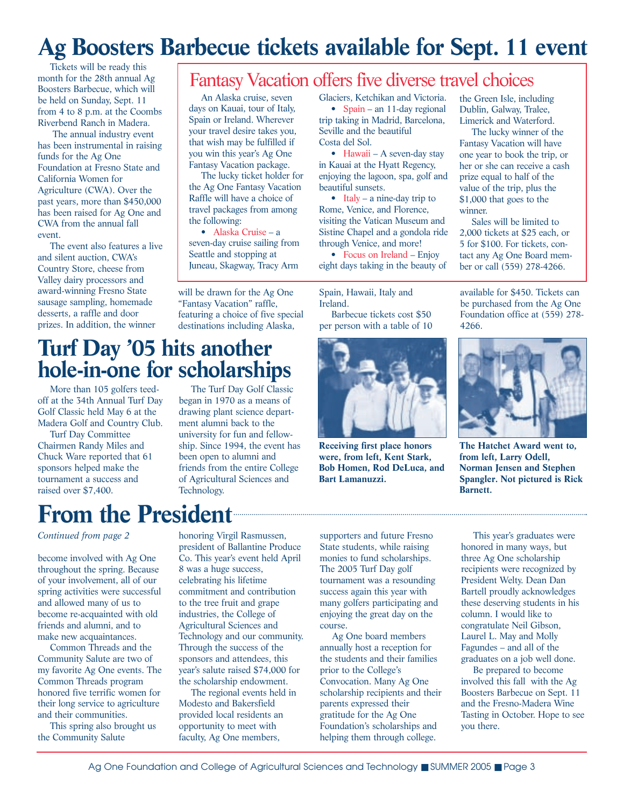## **Ag Boosters Barbecue tickets available for Sept. 11 event**

Tickets will be ready this month for the 28th annual Ag Boosters Barbecue, which will be held on Sunday, Sept. 11 from 4 to 8 p.m. at the Coombs Riverbend Ranch in Madera.

The annual industry event has been instrumental in raising funds for the Ag One Foundation at Fresno State and California Women for Agriculture (CWA). Over the past years, more than \$450,000 has been raised for Ag One and CWA from the annual fall event.

The event also features a live and silent auction, CWA's Country Store, cheese from Valley dairy processors and award-winning Fresno State sausage sampling, homemade desserts, a raffle and door prizes. In addition, the winner

### Fantasy Vacation offers five diverse travel choices

An Alaska cruise, seven days on Kauai, tour of Italy, Spain or Ireland. Wherever your travel desire takes you, that wish may be fulfilled if you win this year's Ag One Fantasy Vacation package.

The lucky ticket holder for the Ag One Fantasy Vacation Raffle will have a choice of travel packages from among the following:

• Alaska Cruise – a seven-day cruise sailing from Seattle and stopping at Juneau, Skagway, Tracy Arm

will be drawn for the Ag One "Fantasy Vacation" raffle, featuring a choice of five special destinations including Alaska,

Glaciers, Ketchikan and Victoria.

• Spain – an 11-day regional trip taking in Madrid, Barcelona, Seville and the beautiful Costa del Sol.

• Hawaii – A seven-day stay in Kauai at the Hyatt Regency, enjoying the lagoon, spa, golf and beautiful sunsets.

• Italy – a nine-day trip to Rome, Venice, and Florence, visiting the Vatican Museum and Sistine Chapel and a gondola ride through Venice, and more!

• Focus on Ireland – Enjoy eight days taking in the beauty of

Spain, Hawaii, Italy and Ireland.

Barbecue tickets cost \$50 per person with a table of 10

**Receiving first place honors were, from left, Kent Stark, Bob Homen, Rod DeLuca, and**

**Bart Lamanuzzi.**



Fantasy Vacation will have one year to book the trip, or her or she can receive a cash prize equal to half of the value of the trip, plus the \$1,000 that goes to the winner.

Sales will be limited to 2,000 tickets at \$25 each, or 5 for \$100. For tickets, contact any Ag One Board member or call (559) 278-4266.

available for \$450. Tickets can be purchased from the Ag One Foundation office at (559) 278- 4266.



**The Hatchet Award went to, from left, Larry Odell, Norman Jensen and Stephen Spangler. Not pictured is Rick Barnett.**

### **Turf Day '05 hits another hole-in-one for scholarships**

More than 105 golfers teedoff at the 34th Annual Turf Day Golf Classic held May 6 at the Madera Golf and Country Club.

Turf Day Committee Chairmen Randy Miles and Chuck Ware reported that 61 sponsors helped make the tournament a success and raised over \$7,400.

The Turf Day Golf Classic began in 1970 as a means of drawing plant science department alumni back to the university for fun and fellowship. Since 1994, the event has been open to alumni and friends from the entire College of Agricultural Sciences and Technology.

## From the President

### *Continued from page 2*

become involved with Ag One throughout the spring. Because of your involvement, all of our spring activities were successful and allowed many of us to become re-acquainted with old friends and alumni, and to make new acquaintances.

Common Threads and the Community Salute are two of my favorite Ag One events. The Common Threads program honored five terrific women for their long service to agriculture and their communities.

This spring also brought us the Community Salute

honoring Virgil Rasmussen, president of Ballantine Produce Co. This year's event held April 8 was a huge success, celebrating his lifetime commitment and contribution to the tree fruit and grape industries, the College of Agricultural Sciences and Technology and our community. Through the success of the sponsors and attendees, this year's salute raised \$74,000 for the scholarship endowment.

The regional events held in Modesto and Bakersfield provided local residents an opportunity to meet with faculty, Ag One members,

supporters and future Fresno State students, while raising monies to fund scholarships. The 2005 Turf Day golf tournament was a resounding success again this year with many golfers participating and enjoying the great day on the course.

Ag One board members annually host a reception for the students and their families prior to the College's Convocation. Many Ag One scholarship recipients and their parents expressed their gratitude for the Ag One Foundation's scholarships and helping them through college.

This year's graduates were honored in many ways, but three Ag One scholarship recipients were recognized by President Welty. Dean Dan Bartell proudly acknowledges these deserving students in his column. I would like to congratulate Neil Gibson, Laurel L. May and Molly Fagundes – and all of the graduates on a job well done.

Be prepared to become involved this fall with the Ag Boosters Barbecue on Sept. 11 and the Fresno-Madera Wine Tasting in October. Hope to see you there.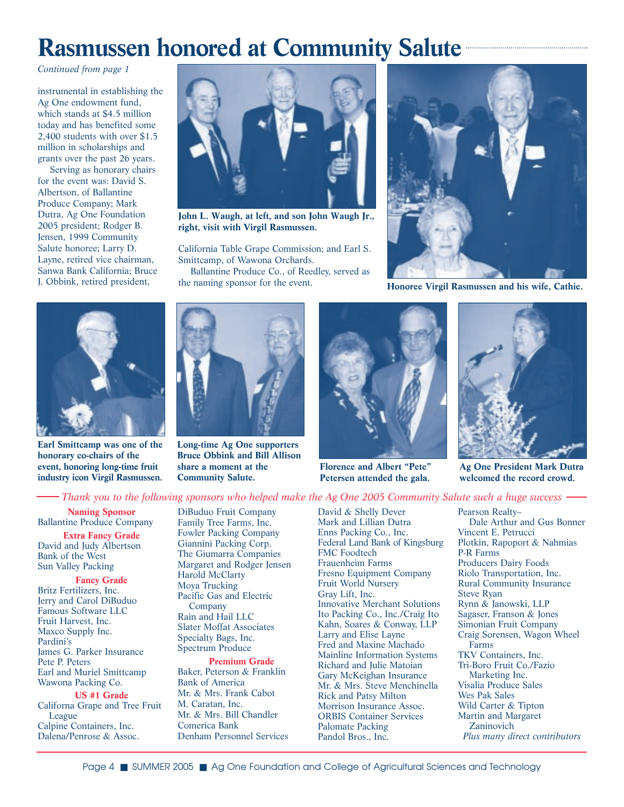## **Rasmussen honored at Community Salute**

*Continued from page 1*

instrumental in establishing the Ag One endowment fund, which stands at \$4.5 million today and has benefited some 2,400 students with over \$1.5 million in scholarships and grants over the past 26 years.

Serving as honorary chairs for the event was: David S. Albertson, of Ballantine Produce Company; Mark Dutra, Ag One Foundation 2005 president; Rodger B. Jensen, 1999 Community Salute honoree; Larry D. Layne, retired vice chairman, Sanwa Bank California; Bruce J. Obbink, retired president,





Smittcamp, of Wawona Orchards.

Ballantine Produce Co., of Reedley, served as the naming sponsor for the event.



**Long-time Ag One supporters Bruce Obbink and Bill Allison share a moment at the Community Salute.**



**Florence and Albert "Pete" Petersen attended the gala.**



**Honoree Virgil Rasmussen and his wife, Cathie.**



**Ag One President Mark Dutra welcomed the record crowd.**

### *Thank you to the following sponsors who helped make the Ag One 2005 Community Salute such a huge success*

**Naming Sponsor** Ballantine Produce Company **Extra Fancy Grade**  David and Judy Albertson Bank of the West Sun Valley Packing

**Earl Smittcamp was one of the honorary co-chairs of the event, honoring long-time fruit industry icon Virgil Rasmussen.**

**Fancy Grade**  Britz Fertilizers, Inc. Jerry and Carol DiBuduo Famous Software LLC Fruit Harvest, Inc. Maxco Supply Inc. Pardini's James G. Parker Insurance Pete P. Peters Earl and Muriel Smittcamp Wawona Packing Co.

#### **US #1 Grade**

Californa Grape and Tree Fruit League Calpine Containers, Inc. Dalena/Penrose & Assoc.

DiBuduo Fruit Company Family Tree Farms, Inc. Fowler Packing Company Giannini Packing Corp. The Giumarra Companies Margaret and Rodger Jensen Harold McClarty Moya Trucking Pacific Gas and Electric Company Rain and Hail LLC Slater Moffat Associates Specialty Bags, Inc. Spectrum Produce **Premium Grade** 

Baker, Peterson & Franklin Bank of America Mr. & Mrs. Frank Cabot M. Caratan, Inc. Mr. & Mrs. Bill Chandler Comerica Bank Denham Personnel Services David & Shelly Dever Mark and Lillian Dutra Enns Packing Co., Inc. Federal Land Bank of Kingsburg FMC Foodtech Frauenheim Farms Fresno Equipment Company Fruit World Nursery Gray Lift, Inc. Innovative Merchant Solutions Ito Packing Co., Inc./Craig Ito Kahn, Soares & Conway, LLP Larry and Elise Layne Fred and Maxine Machado Mainline Information Systems Richard and Julie Matoian Gary McKeighan Insurance Mr. & Mrs. Steve Menchinella Rick and Patsy Milton Morrison Insurance Assoc. ORBIS Container Services Palomate Packing Pandol Bros., Inc.

Pearson Realty– Dale Arthur and Gus Bonner Vincent E. Petrucci Plotkin, Rapoport & Nahmias P-R Farms Producers Dairy Foods Riolo Transportation, Inc. Rural Community Insurance Steve Ryan Rynn & Janowski, LLP Sagaser, Franson & Jones Simonian Fruit Company Craig Sorensen, Wagon Wheel Farms TKV Containers, Inc. Tri-Boro Fruit Co./Fazio Marketing Inc. Visalia Produce Sales Wes Pak Sales Wild Carter & Tipton Martin and Margaret **Zaninovich** *Plus many direct contributors*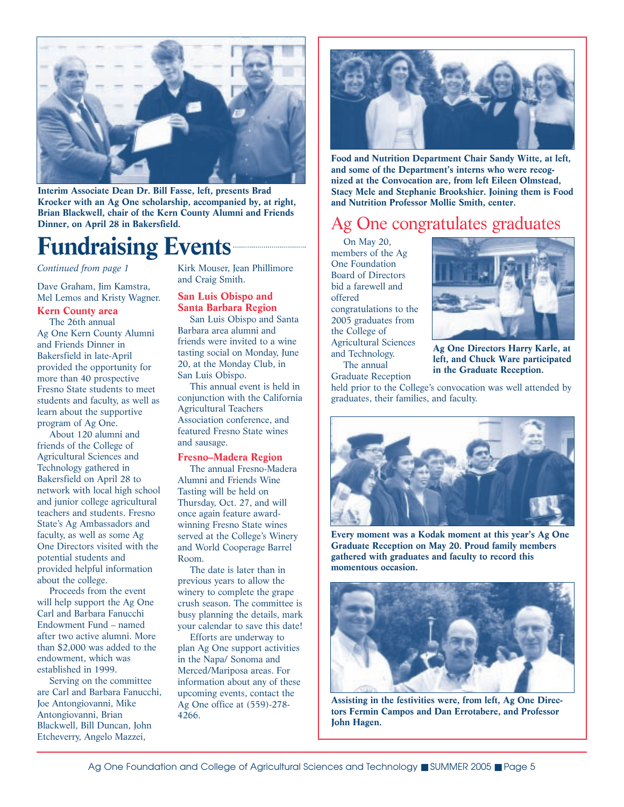

**Interim Associate Dean Dr. Bill Fasse, left, presents Brad Kroeker with an Ag One scholarship, accompanied by, at right, Brian Blackwell, chair of the Kern County Alumni and Friends Dinner, on April 28 in Bakersfield.** 

## **Fundraising Events**

*Continued from page 1*

Dave Graham, Jim Kamstra, Mel Lemos and Kristy Wagner.

### **Kern County area**

The 26th annual Ag One Kern County Alumni and Friends Dinner in Bakersfield in late-April provided the opportunity for more than 40 prospective Fresno State students to meet students and faculty, as well as learn about the supportive program of Ag One.

About 120 alumni and friends of the College of Agricultural Sciences and Technology gathered in Bakersfield on April 28 to network with local high school and junior college agricultural teachers and students. Fresno State's Ag Ambassadors and faculty, as well as some Ag One Directors visited with the potential students and provided helpful information about the college.

Proceeds from the event will help support the Ag One Carl and Barbara Fanucchi Endowment Fund – named after two active alumni. More than \$2,000 was added to the endowment, which was established in 1999.

Serving on the committee are Carl and Barbara Fanucchi, Joe Antongiovanni, Mike Antongiovanni, Brian Blackwell, Bill Duncan, John Etcheverry, Angelo Mazzei,

Kirk Mouser, Jean Phillimore and Craig Smith.

### **San Luis Obispo and Santa Barbara Region**

San Luis Obispo and Santa Barbara area alumni and friends were invited to a wine tasting social on Monday, June 20, at the Monday Club, in San Luis Obispo.

This annual event is held in conjunction with the California Agricultural Teachers Association conference, and featured Fresno State wines and sausage.

#### **Fresno–Madera Region**

The annual Fresno-Madera Alumni and Friends Wine Tasting will be held on Thursday, Oct. 27, and will once again feature awardwinning Fresno State wines served at the College's Winery and World Cooperage Barrel Room.

The date is later than in previous years to allow the winery to complete the grape crush season. The committee is busy planning the details, mark your calendar to save this date!

Efforts are underway to plan Ag One support activities in the Napa/ Sonoma and Merced/Mariposa areas. For information about any of these upcoming events, contact the Ag One office at (559)-278- 4266.



**Food and Nutrition Department Chair Sandy Witte, at left, and some of the Department's interns who were recognized at the Convocation are, from left Eileen Olmstead, Stacy Mele and Stephanie Brookshier. Joining them is Food and Nutrition Professor Mollie Smith, center.**

### Ag One congratulates graduates

On May 20, members of the Ag One Foundation Board of Directors bid a farewell and offered congratulations to the 2005 graduates from the College of Agricultural Sciences and Technology. The annual

Graduate Reception



**Ag One Directors Harry Karle, at left, and Chuck Ware participated in the Graduate Reception.** 

held prior to the College's convocation was well attended by graduates, their families, and faculty.



**Every moment was a Kodak moment at this year's Ag One Graduate Reception on May 20. Proud family members gathered with graduates and faculty to record this momentous occasion.**



**Assisting in the festivities were, from left, Ag One Directors Fermin Campos and Dan Errotabere, and Professor John Hagen.**